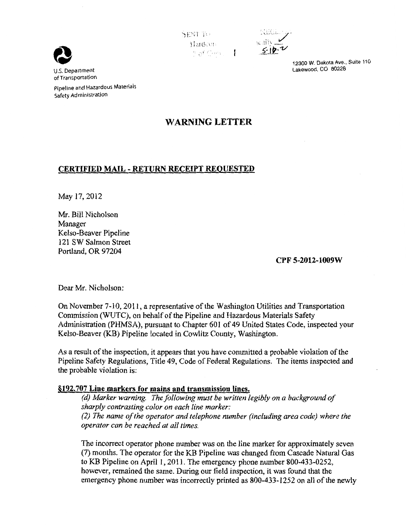

Pipeline and Hazardous Materials Safety Administration

# SENT TO  $$ example: The Hardconnel Cally



12300 W. Dakota Ave., Suite 110 Lakewood, CO 80228

# **WARNING LETTER**

## **CERTIFIED MAIL- RETURN RECEIPT REQUESTED**

May 17, 2012

Mr. Bill Nicholson Manager Kelso-Beaver Pipeline 121 SW Salmon Street Portland, OR 97204

### **CPF 5-2012-1009W**

Dear Mr. Nicholson:

On November 7-10, 2011, a representative of the Washington Utilities and Transportation Commission (WUTC), on behalf of the Pipeline and Hazardous Materials Safety Administration (PHMSA), pursuant to Chapter 601 of 49 United States Code, inspected your Kelso-Beaver (KB) Pipeline located in Cowlitz County, Washington.

As a result of the inspection, it appears that you have committed a probable violation of the Pipeline Safety Regulations, Title 49, Code of Federal Regulations. The items inspected and the probable violation is:

### **§192.707 Line markers for mains and transmission lines.**

*(d) Marker warning. The following must be written legibly on a background of sharply contrasting color on each line marker: (2) The name of the operator and telephone number (including area code) where the operator can be reached at all times.* 

The incorrect operator phone number was on the line marker for approximately seven (7) months. The operator for the KB Pipeline was changed from Cascade Natural Gas to KB Pipeline on April 1, 2011. The emergency phone number 800-433-0252, however, remained the same. During our field inspection, it was found that the emergency phone number was incorrectly printed as 800-433-1252 on all of the newly